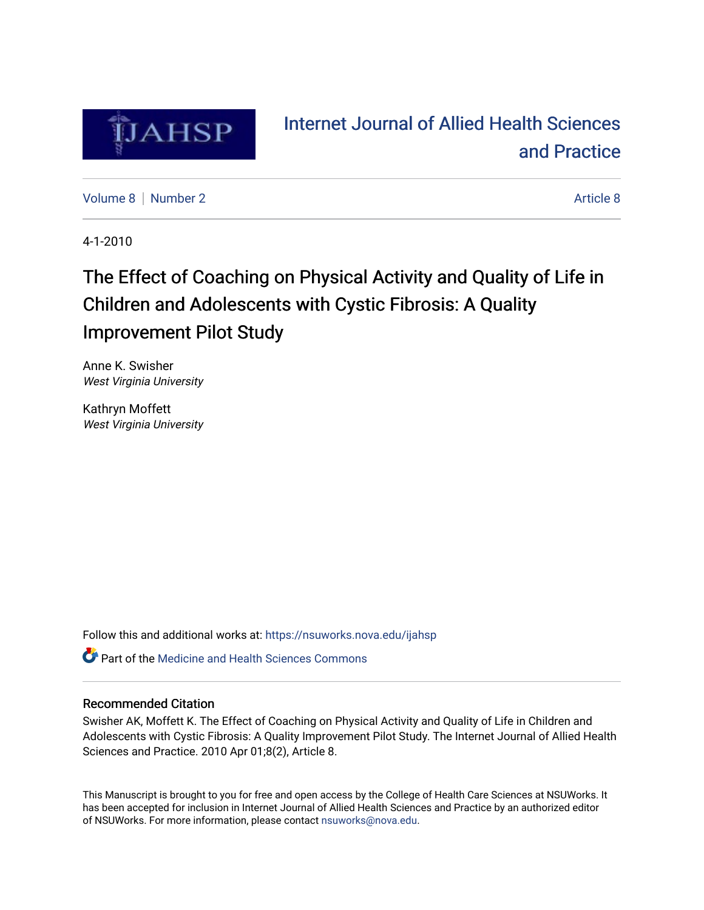

# [Internet Journal of Allied Health Sciences](https://nsuworks.nova.edu/ijahsp)  [and Practice](https://nsuworks.nova.edu/ijahsp)

[Volume 8](https://nsuworks.nova.edu/ijahsp/vol8) [Number 2](https://nsuworks.nova.edu/ijahsp/vol8/iss2) [Article 8](https://nsuworks.nova.edu/ijahsp/vol8/iss2/8) Article 8 Article 8 Article 8 Article 8 Article 8 Article 8 Article 8 Article 8 Article 8 Article 8 Article 8 Article 8 Article 8 Article 8 Article 8 Article 8 Article 8 Article 8 Article 8 Arti

4-1-2010

# The Effect of Coaching on Physical Activity and Quality of Life in Children and Adolescents with Cystic Fibrosis: A Quality Improvement Pilot Study

Anne K. Swisher West Virginia University

Kathryn Moffett West Virginia University

Follow this and additional works at: [https://nsuworks.nova.edu/ijahsp](https://nsuworks.nova.edu/ijahsp?utm_source=nsuworks.nova.edu%2Fijahsp%2Fvol8%2Fiss2%2F8&utm_medium=PDF&utm_campaign=PDFCoverPages) 

**C** Part of the Medicine and Health Sciences Commons

### Recommended Citation

Swisher AK, Moffett K. The Effect of Coaching on Physical Activity and Quality of Life in Children and Adolescents with Cystic Fibrosis: A Quality Improvement Pilot Study. The Internet Journal of Allied Health Sciences and Practice. 2010 Apr 01;8(2), Article 8.

This Manuscript is brought to you for free and open access by the College of Health Care Sciences at NSUWorks. It has been accepted for inclusion in Internet Journal of Allied Health Sciences and Practice by an authorized editor of NSUWorks. For more information, please contact [nsuworks@nova.edu.](mailto:nsuworks@nova.edu)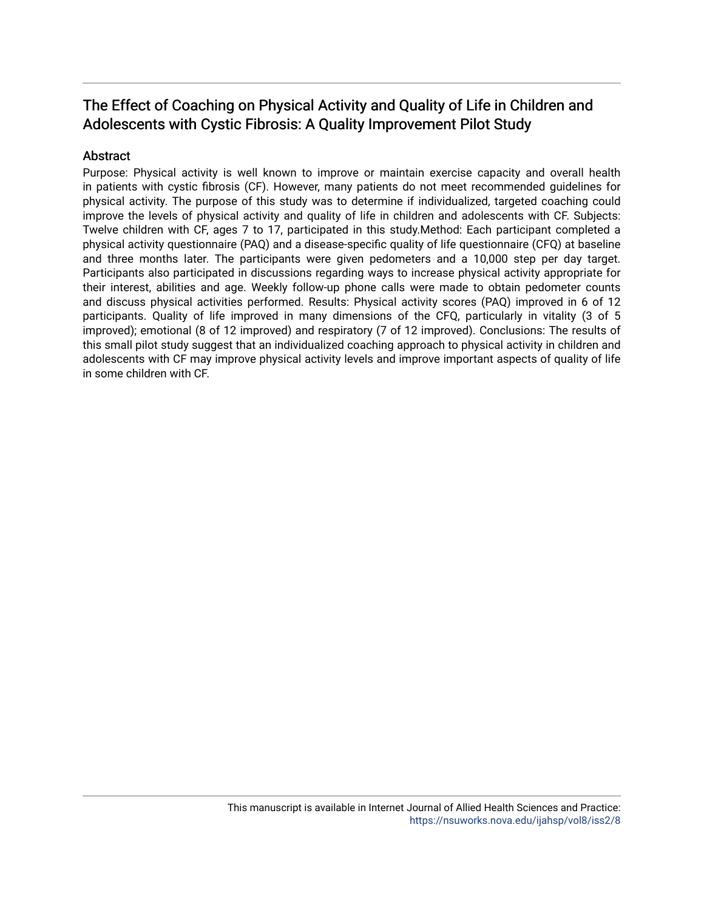## The Effect of Coaching on Physical Activity and Quality of Life in Children and Adolescents with Cystic Fibrosis: A Quality Improvement Pilot Study

### **Abstract**

Purpose: Physical activity is well known to improve or maintain exercise capacity and overall health in patients with cystic fibrosis (CF). However, many patients do not meet recommended guidelines for physical activity. The purpose of this study was to determine if individualized, targeted coaching could improve the levels of physical activity and quality of life in children and adolescents with CF. Subjects: Twelve children with CF, ages 7 to 17, participated in this study.Method: Each participant completed a physical activity questionnaire (PAQ) and a disease-specific quality of life questionnaire (CFQ) at baseline and three months later. The participants were given pedometers and a 10,000 step per day target. Participants also participated in discussions regarding ways to increase physical activity appropriate for their interest, abilities and age. Weekly follow-up phone calls were made to obtain pedometer counts and discuss physical activities performed. Results: Physical activity scores (PAQ) improved in 6 of 12 participants. Quality of life improved in many dimensions of the CFQ, particularly in vitality (3 of 5 improved); emotional (8 of 12 improved) and respiratory (7 of 12 improved). Conclusions: The results of this small pilot study suggest that an individualized coaching approach to physical activity in children and adolescents with CF may improve physical activity levels and improve important aspects of quality of life in some children with CF.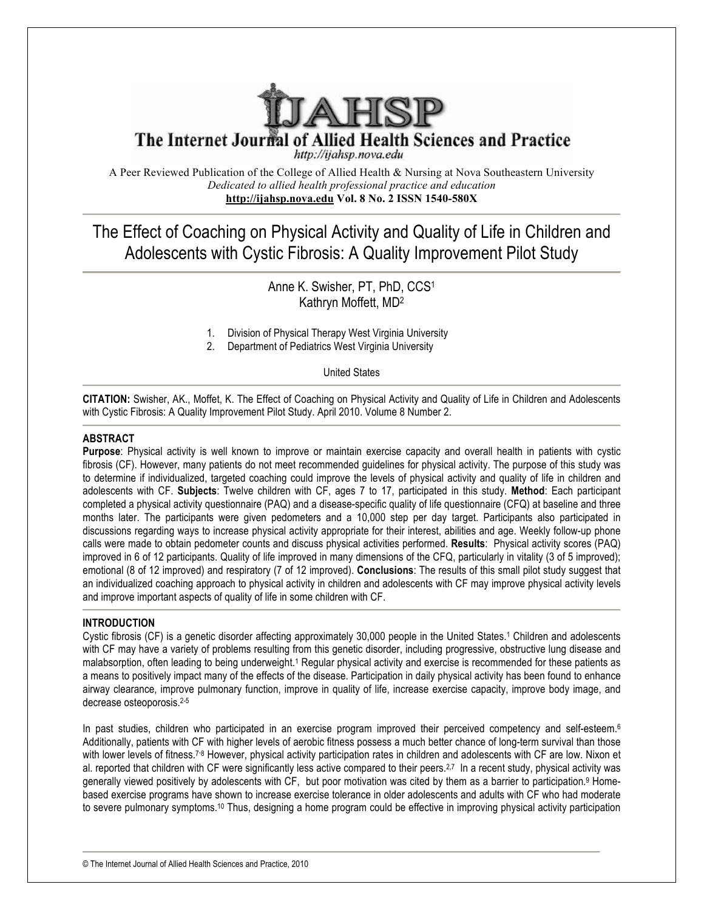

The Internet Journal of Allied Health Sciences and Practice

http://ijahsp.nova.edu

A Peer Reviewed Publication of the College of Allied Health & Nursing at Nova Southeastern University *Dedicated to allied health professional practice and education* **http://ijahsp.nova.edu Vol. 8 No. 2 ISSN 1540-580X**

The Effect of Coaching on Physical Activity and Quality of Life in Children and Adolescents with Cystic Fibrosis: A Quality Improvement Pilot Study

> Anne K. Swisher, PT, PhD, CCS1 Kathryn Moffett, MD2

- 1. Division of Physical Therapy West Virginia University
- 2. Department of Pediatrics West Virginia University

United States

**CITATION:** Swisher, AK., Moffet, K. The Effect of Coaching on Physical Activity and Quality of Life in Children and Adolescents with Cystic Fibrosis: A Quality Improvement Pilot Study. April 2010. Volume 8 Number 2.

#### **ABSTRACT**

**Purpose**: Physical activity is well known to improve or maintain exercise capacity and overall health in patients with cystic fibrosis (CF). However, many patients do not meet recommended guidelines for physical activity. The purpose of this study was to determine if individualized, targeted coaching could improve the levels of physical activity and quality of life in children and adolescents with CF. **Subjects**: Twelve children with CF, ages 7 to 17, participated in this study. **Method**: Each participant completed a physical activity questionnaire (PAQ) and a disease-specific quality of life questionnaire (CFQ) at baseline and three months later. The participants were given pedometers and a 10,000 step per day target. Participants also participated in discussions regarding ways to increase physical activity appropriate for their interest, abilities and age. Weekly follow-up phone calls were made to obtain pedometer counts and discuss physical activities performed. **Results**: Physical activity scores (PAQ) improved in 6 of 12 participants. Quality of life improved in many dimensions of the CFQ, particularly in vitality (3 of 5 improved); emotional (8 of 12 improved) and respiratory (7 of 12 improved). **Conclusions**: The results of this small pilot study suggest that an individualized coaching approach to physical activity in children and adolescents with CF may improve physical activity levels and improve important aspects of quality of life in some children with CF.

#### **INTRODUCTION**

Cystic fibrosis (CF) is a genetic disorder affecting approximately 30,000 people in the United States. <sup>1</sup> Children and adolescents with CF may have a variety of problems resulting from this genetic disorder, including progressive, obstructive lung disease and malabsorption, often leading to being underweight.<sup>1</sup> Regular physical activity and exercise is recommended for these patients as a means to positively impact many of the effects of the disease. Participation in daily physical activity has been found to enhance airway clearance, improve pulmonary function, improve in quality of life, increase exercise capacity, improve body image, and decrease osteoporosis.2-5

In past studies, children who participated in an exercise program improved their perceived competency and self-esteem.<sup>6</sup> Additionally, patients with CF with higher levels of aerobic fitness possess a much better chance of long-term survival than those with lower levels of fitness.<sup>7,8</sup> However, physical activity participation rates in children and adolescents with CF are low. Nixon et al. reported that children with CF were significantly less active compared to their peers.<sup>2,7</sup> In a recent study, physical activity was generally viewed positively by adolescents with CF, but poor motivation was cited by them as a barrier to participation.<sup>9</sup> Homebased exercise programs have shown to increase exercise tolerance in older adolescents and adults with CF who had moderate to severe pulmonary symptoms.10 Thus, designing a home program could be effective in improving physical activity participation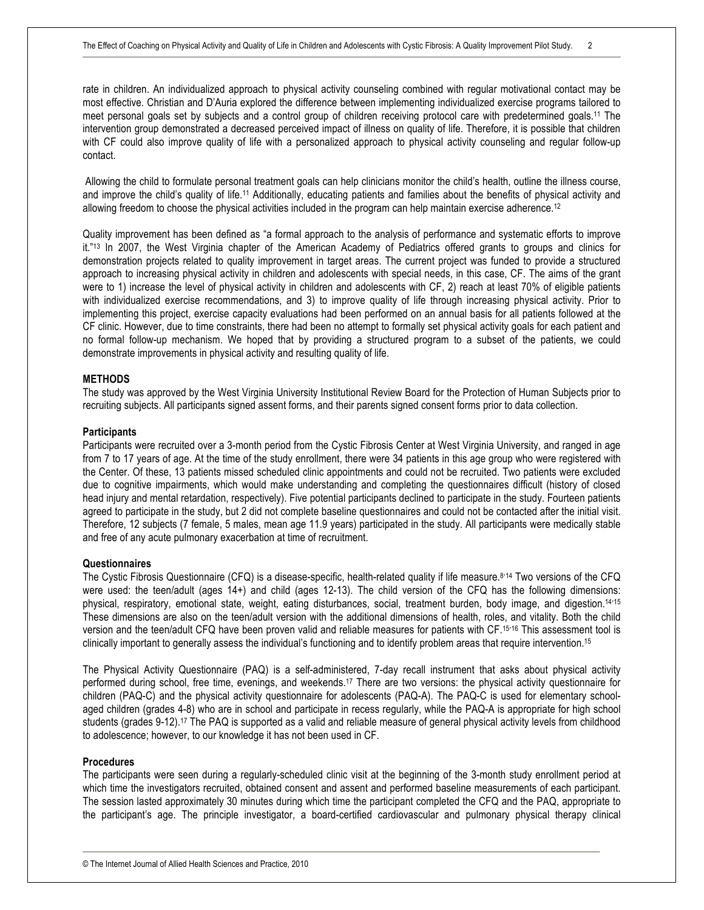rate in children. An individualized approach to physical activity counseling combined with regular motivational contact may be most effective. Christian and D'Auria explored the difference between implementing individualized exercise programs tailored to meet personal goals set by subjects and a control group of children receiving protocol care with predetermined goals.11 The intervention group demonstrated a decreased perceived impact of illness on quality of life. Therefore, it is possible that children with CF could also improve quality of life with a personalized approach to physical activity counseling and regular follow-up contact.

 Allowing the child to formulate personal treatment goals can help clinicians monitor the child's health, outline the illness course, and improve the child's quality of life.11 Additionally, educating patients and families about the benefits of physical activity and allowing freedom to choose the physical activities included in the program can help maintain exercise adherence.<sup>12</sup>

Quality improvement has been defined as "a formal approach to the analysis of performance and systematic efforts to improve it."13 In 2007, the West Virginia chapter of the American Academy of Pediatrics offered grants to groups and clinics for demonstration projects related to quality improvement in target areas. The current project was funded to provide a structured approach to increasing physical activity in children and adolescents with special needs, in this case, CF. The aims of the grant were to 1) increase the level of physical activity in children and adolescents with CF, 2) reach at least 70% of eligible patients with individualized exercise recommendations, and 3) to improve quality of life through increasing physical activity. Prior to implementing this project, exercise capacity evaluations had been performed on an annual basis for all patients followed at the CF clinic. However, due to time constraints, there had been no attempt to formally set physical activity goals for each patient and no formal follow-up mechanism. We hoped that by providing a structured program to a subset of the patients, we could demonstrate improvements in physical activity and resulting quality of life.

#### **METHODS**

The study was approved by the West Virginia University Institutional Review Board for the Protection of Human Subjects prior to recruiting subjects. All participants signed assent forms, and their parents signed consent forms prior to data collection.

#### **Participants**

Participants were recruited over a 3-month period from the Cystic Fibrosis Center at West Virginia University, and ranged in age from 7 to 17 years of age. At the time of the study enrollment, there were 34 patients in this age group who were registered with the Center. Of these, 13 patients missed scheduled clinic appointments and could not be recruited. Two patients were excluded due to cognitive impairments, which would make understanding and completing the questionnaires difficult (history of closed head injury and mental retardation, respectively). Five potential participants declined to participate in the study. Fourteen patients agreed to participate in the study, but 2 did not complete baseline questionnaires and could not be contacted after the initial visit. Therefore, 12 subjects (7 female, 5 males, mean age 11.9 years) participated in the study. All participants were medically stable and free of any acute pulmonary exacerbation at time of recruitment.

#### **Questionnaires**

The Cystic Fibrosis Questionnaire (CFQ) is a disease-specific, health-related quality if life measure.<sup>8,14</sup> Two versions of the CFQ were used: the teen/adult (ages 14+) and child (ages 12-13). The child version of the CFQ has the following dimensions: physical, respiratory, emotional state, weight, eating disturbances, social, treatment burden, body image, and digestion.<sup>14-15</sup> These dimensions are also on the teen/adult version with the additional dimensions of health, roles, and vitality. Both the child version and the teen/adult CFQ have been proven valid and reliable measures for patients with CF.<sup>15,16</sup> This assessment tool is clinically important to generally assess the individual's functioning and to identify problem areas that require intervention.15

The Physical Activity Questionnaire (PAQ) is a self-administered, 7-day recall instrument that asks about physical activity performed during school, free time, evenings, and weekends.17 There are two versions: the physical activity questionnaire for children (PAQ-C) and the physical activity questionnaire for adolescents (PAQ-A). The PAQ-C is used for elementary schoolaged children (grades 4-8) who are in school and participate in recess regularly, while the PAQ-A is appropriate for high school students (grades 9-12).17 The PAQ is supported as a valid and reliable measure of general physical activity levels from childhood to adolescence; however, to our knowledge it has not been used in CF.

#### **Procedures**

The participants were seen during a regularly-scheduled clinic visit at the beginning of the 3-month study enrollment period at which time the investigators recruited, obtained consent and assent and performed baseline measurements of each participant. The session lasted approximately 30 minutes during which time the participant completed the CFQ and the PAQ, appropriate to the participant's age. The principle investigator, a board-certified cardiovascular and pulmonary physical therapy clinical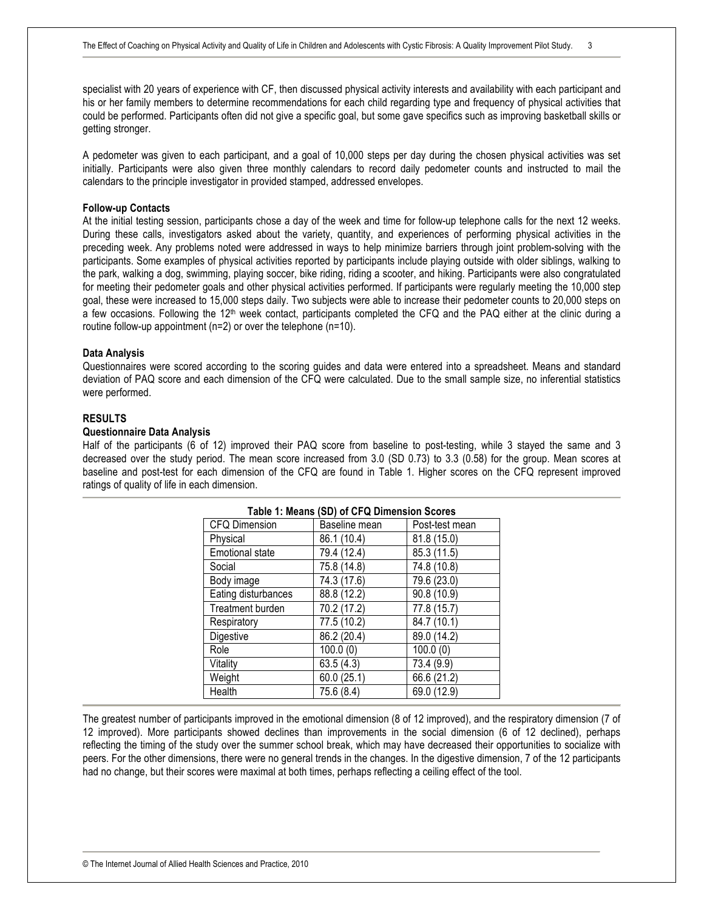specialist with 20 years of experience with CF, then discussed physical activity interests and availability with each participant and his or her family members to determine recommendations for each child regarding type and frequency of physical activities that could be performed. Participants often did not give a specific goal, but some gave specifics such as improving basketball skills or getting stronger.

A pedometer was given to each participant, and a goal of 10,000 steps per day during the chosen physical activities was set initially. Participants were also given three monthly calendars to record daily pedometer counts and instructed to mail the calendars to the principle investigator in provided stamped, addressed envelopes.

#### **Follow-up Contacts**

At the initial testing session, participants chose a day of the week and time for follow-up telephone calls for the next 12 weeks. During these calls, investigators asked about the variety, quantity, and experiences of performing physical activities in the preceding week. Any problems noted were addressed in ways to help minimize barriers through joint problem-solving with the participants. Some examples of physical activities reported by participants include playing outside with older siblings, walking to the park, walking a dog, swimming, playing soccer, bike riding, riding a scooter, and hiking. Participants were also congratulated for meeting their pedometer goals and other physical activities performed. If participants were regularly meeting the 10,000 step goal, these were increased to 15,000 steps daily. Two subjects were able to increase their pedometer counts to 20,000 steps on a few occasions. Following the 12<sup>th</sup> week contact, participants completed the CFQ and the PAQ either at the clinic during a routine follow-up appointment (n=2) or over the telephone (n=10).

#### **Data Analysis**

Questionnaires were scored according to the scoring guides and data were entered into a spreadsheet. Means and standard deviation of PAQ score and each dimension of the CFQ were calculated. Due to the small sample size, no inferential statistics were performed.

#### **RESULTS**

#### **Questionnaire Data Analysis**

Half of the participants (6 of 12) improved their PAQ score from baseline to post-testing, while 3 stayed the same and 3 decreased over the study period. The mean score increased from 3.0 (SD 0.73) to 3.3 (0.58) for the group. Mean scores at baseline and post-test for each dimension of the CFQ are found in Table 1. Higher scores on the CFQ represent improved ratings of quality of life in each dimension.

| Table 1: Means (SD) of CFQ Dimension Scores |               |                |  |  |  |
|---------------------------------------------|---------------|----------------|--|--|--|
| CFQ Dimension                               | Baseline mean | Post-test mean |  |  |  |
| Physical                                    | 86.1 (10.4)   | 81.8 (15.0)    |  |  |  |
| <b>Emotional state</b>                      | 79.4 (12.4)   | 85.3 (11.5)    |  |  |  |
| Social                                      | 75.8 (14.8)   | 74.8 (10.8)    |  |  |  |
| Body image                                  | 74.3 (17.6)   | 79.6 (23.0)    |  |  |  |
| Eating disturbances                         | 88.8 (12.2)   | 90.8 (10.9)    |  |  |  |
| Treatment burden                            | 70.2 (17.2)   | 77.8 (15.7)    |  |  |  |
| Respiratory                                 | 77.5 (10.2)   | 84.7 (10.1)    |  |  |  |
| Digestive                                   | 86.2 (20.4)   | 89.0 (14.2)    |  |  |  |
| Role                                        | 100.0(0)      | 100.0(0)       |  |  |  |
| Vitality                                    | 63.5(4.3)     | 73.4 (9.9)     |  |  |  |
| Weight                                      | 60.0(25.1)    | 66.6 (21.2)    |  |  |  |
| Health                                      | 75.6 (8.4)    | 69.0 (12.9)    |  |  |  |

The greatest number of participants improved in the emotional dimension (8 of 12 improved), and the respiratory dimension (7 of 12 improved). More participants showed declines than improvements in the social dimension (6 of 12 declined), perhaps reflecting the timing of the study over the summer school break, which may have decreased their opportunities to socialize with peers. For the other dimensions, there were no general trends in the changes. In the digestive dimension, 7 of the 12 participants had no change, but their scores were maximal at both times, perhaps reflecting a ceiling effect of the tool.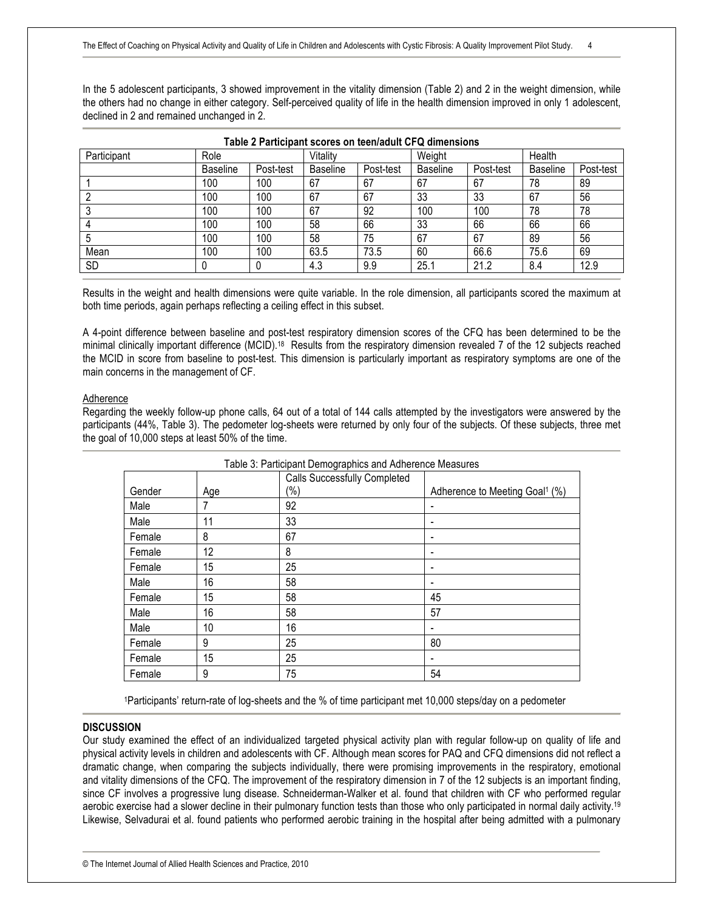In the 5 adolescent participants, 3 showed improvement in the vitality dimension (Table 2) and 2 in the weight dimension, while the others had no change in either category. Self-perceived quality of life in the health dimension improved in only 1 adolescent, declined in 2 and remained unchanged in 2.

| Table 2 Participant scores on teen/adult CFQ dimensions |                 |           |                 |           |                 |           |                 |           |
|---------------------------------------------------------|-----------------|-----------|-----------------|-----------|-----------------|-----------|-----------------|-----------|
| Participant                                             | Role            |           | Vitality        |           | Weight          |           | Health          |           |
|                                                         | <b>Baseline</b> | Post-test | <b>Baseline</b> | Post-test | <b>Baseline</b> | Post-test | <b>Baseline</b> | Post-test |
|                                                         | 100             | 100       | 67              | 67        | 67              | 67        | 78              | 89        |
|                                                         | 100             | 100       | 67              | 67        | 33              | 33        | 67              | 56        |
|                                                         | 100             | 100       | 67              | 92        | 100             | 100       | 78              | 78        |
|                                                         | 100             | 100       | 58              | 66        | 33              | 66        | 66              | 66        |
|                                                         | 100             | 100       | 58              | 75        | 67              | 67        | 89              | 56        |
| Mean                                                    | 100             | 100       | 63.5            | 73.5      | 60              | 66.6      | 75.6            | 69        |
| <b>SD</b>                                               |                 |           | 4.3             | 9.9       | 25.1            | 21.2      | 8.4             | 12.9      |

Results in the weight and health dimensions were quite variable. In the role dimension, all participants scored the maximum at both time periods, again perhaps reflecting a ceiling effect in this subset.

A 4-point difference between baseline and post-test respiratory dimension scores of the CFQ has been determined to be the minimal clinically important difference (MCID).18 Results from the respiratory dimension revealed 7 of the 12 subjects reached the MCID in score from baseline to post-test. This dimension is particularly important as respiratory symptoms are one of the main concerns in the management of CF.

#### Adherence

Regarding the weekly follow-up phone calls, 64 out of a total of 144 calls attempted by the investigators were answered by the participants (44%, Table 3). The pedometer log-sheets were returned by only four of the subjects. Of these subjects, three met the goal of 10,000 steps at least 50% of the time.

| Table 3: Participant Demographics and Adherence Measures |     |                                     |                                            |  |  |  |
|----------------------------------------------------------|-----|-------------------------------------|--------------------------------------------|--|--|--|
|                                                          |     | <b>Calls Successfully Completed</b> |                                            |  |  |  |
| Gender                                                   | Age | (%)                                 | Adherence to Meeting Goal <sup>1</sup> (%) |  |  |  |
| Male                                                     |     | 92                                  | ٠                                          |  |  |  |
| Male                                                     | 11  | 33                                  | ٠                                          |  |  |  |
| Female                                                   | 8   | 67                                  | ٠                                          |  |  |  |
| Female                                                   | 12  | 8                                   | ٠                                          |  |  |  |
| Female                                                   | 15  | 25                                  | ٠                                          |  |  |  |
| Male                                                     | 16  | 58                                  |                                            |  |  |  |
| Female                                                   | 15  | 58                                  | 45                                         |  |  |  |
| Male                                                     | 16  | 58                                  | 57                                         |  |  |  |
| Male                                                     | 10  | 16                                  |                                            |  |  |  |
| Female                                                   | 9   | 25                                  | 80                                         |  |  |  |
| Female                                                   | 15  | 25                                  |                                            |  |  |  |
| Female                                                   | 9   | 75                                  | 54                                         |  |  |  |

1Participants' return-rate of log-sheets and the % of time participant met 10,000 steps/day on a pedometer

#### **DISCUSSION**

Our study examined the effect of an individualized targeted physical activity plan with regular follow-up on quality of life and physical activity levels in children and adolescents with CF. Although mean scores for PAQ and CFQ dimensions did not reflect a dramatic change, when comparing the subjects individually, there were promising improvements in the respiratory, emotional and vitality dimensions of the CFQ. The improvement of the respiratory dimension in 7 of the 12 subjects is an important finding, since CF involves a progressive lung disease. Schneiderman-Walker et al. found that children with CF who performed regular aerobic exercise had a slower decline in their pulmonary function tests than those who only participated in normal daily activity.19 Likewise, Selvadurai et al. found patients who performed aerobic training in the hospital after being admitted with a pulmonary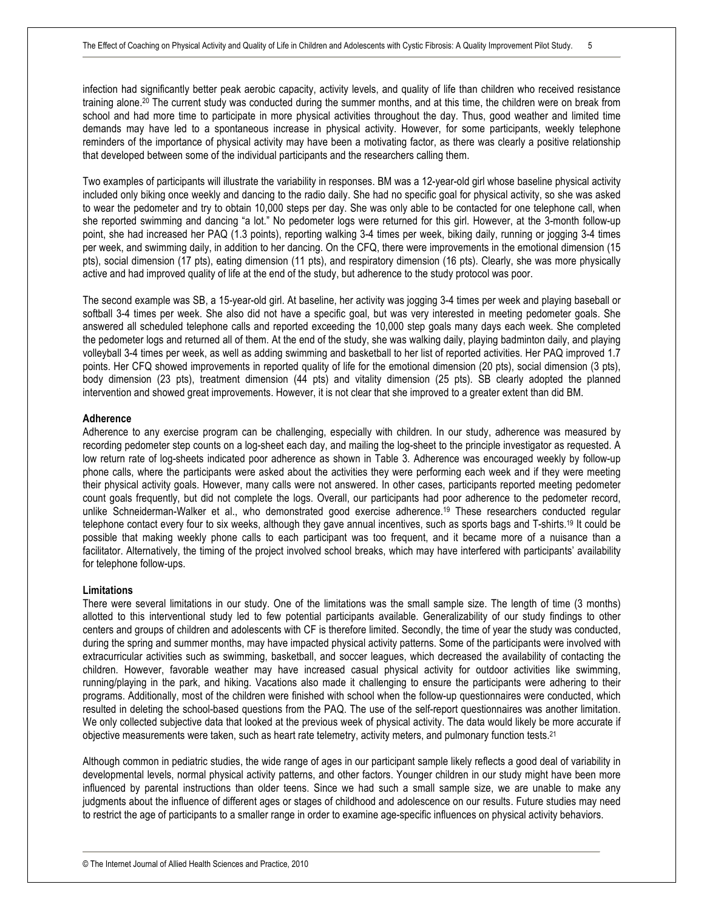infection had significantly better peak aerobic capacity, activity levels, and quality of life than children who received resistance training alone.20 The current study was conducted during the summer months, and at this time, the children were on break from school and had more time to participate in more physical activities throughout the day. Thus, good weather and limited time demands may have led to a spontaneous increase in physical activity. However, for some participants, weekly telephone reminders of the importance of physical activity may have been a motivating factor, as there was clearly a positive relationship that developed between some of the individual participants and the researchers calling them.

Two examples of participants will illustrate the variability in responses. BM was a 12-year-old girl whose baseline physical activity included only biking once weekly and dancing to the radio daily. She had no specific goal for physical activity, so she was asked to wear the pedometer and try to obtain 10,000 steps per day. She was only able to be contacted for one telephone call, when she reported swimming and dancing "a lot." No pedometer logs were returned for this girl. However, at the 3-month follow-up point, she had increased her PAQ (1.3 points), reporting walking 3-4 times per week, biking daily, running or jogging 3-4 times per week, and swimming daily, in addition to her dancing. On the CFQ, there were improvements in the emotional dimension (15 pts), social dimension (17 pts), eating dimension (11 pts), and respiratory dimension (16 pts). Clearly, she was more physically active and had improved quality of life at the end of the study, but adherence to the study protocol was poor.

The second example was SB, a 15-year-old girl. At baseline, her activity was jogging 3-4 times per week and playing baseball or softball 3-4 times per week. She also did not have a specific goal, but was very interested in meeting pedometer goals. She answered all scheduled telephone calls and reported exceeding the 10,000 step goals many days each week. She completed the pedometer logs and returned all of them. At the end of the study, she was walking daily, playing badminton daily, and playing volleyball 3-4 times per week, as well as adding swimming and basketball to her list of reported activities. Her PAQ improved 1.7 points. Her CFQ showed improvements in reported quality of life for the emotional dimension (20 pts), social dimension (3 pts), body dimension (23 pts), treatment dimension (44 pts) and vitality dimension (25 pts). SB clearly adopted the planned intervention and showed great improvements. However, it is not clear that she improved to a greater extent than did BM.

#### **Adherence**

Adherence to any exercise program can be challenging, especially with children. In our study, adherence was measured by recording pedometer step counts on a log-sheet each day, and mailing the log-sheet to the principle investigator as requested. A low return rate of log-sheets indicated poor adherence as shown in Table 3. Adherence was encouraged weekly by follow-up phone calls, where the participants were asked about the activities they were performing each week and if they were meeting their physical activity goals. However, many calls were not answered. In other cases, participants reported meeting pedometer count goals frequently, but did not complete the logs. Overall, our participants had poor adherence to the pedometer record, unlike Schneiderman-Walker et al., who demonstrated good exercise adherence. <sup>19</sup> These researchers conducted regular telephone contact every four to six weeks, although they gave annual incentives, such as sports bags and T-shirts.19 It could be possible that making weekly phone calls to each participant was too frequent, and it became more of a nuisance than a facilitator. Alternatively, the timing of the project involved school breaks, which may have interfered with participants' availability for telephone follow-ups.

#### **Limitations**

There were several limitations in our study. One of the limitations was the small sample size. The length of time (3 months) allotted to this interventional study led to few potential participants available. Generalizability of our study findings to other centers and groups of children and adolescents with CF is therefore limited. Secondly, the time of year the study was conducted, during the spring and summer months, may have impacted physical activity patterns. Some of the participants were involved with extracurricular activities such as swimming, basketball, and soccer leagues, which decreased the availability of contacting the children. However, favorable weather may have increased casual physical activity for outdoor activities like swimming, running/playing in the park, and hiking. Vacations also made it challenging to ensure the participants were adhering to their programs. Additionally, most of the children were finished with school when the follow-up questionnaires were conducted, which resulted in deleting the school-based questions from the PAQ. The use of the self-report questionnaires was another limitation. We only collected subjective data that looked at the previous week of physical activity. The data would likely be more accurate if objective measurements were taken, such as heart rate telemetry, activity meters, and pulmonary function tests.21

Although common in pediatric studies, the wide range of ages in our participant sample likely reflects a good deal of variability in developmental levels, normal physical activity patterns, and other factors. Younger children in our study might have been more influenced by parental instructions than older teens. Since we had such a small sample size, we are unable to make any judgments about the influence of different ages or stages of childhood and adolescence on our results. Future studies may need to restrict the age of participants to a smaller range in order to examine age-specific influences on physical activity behaviors.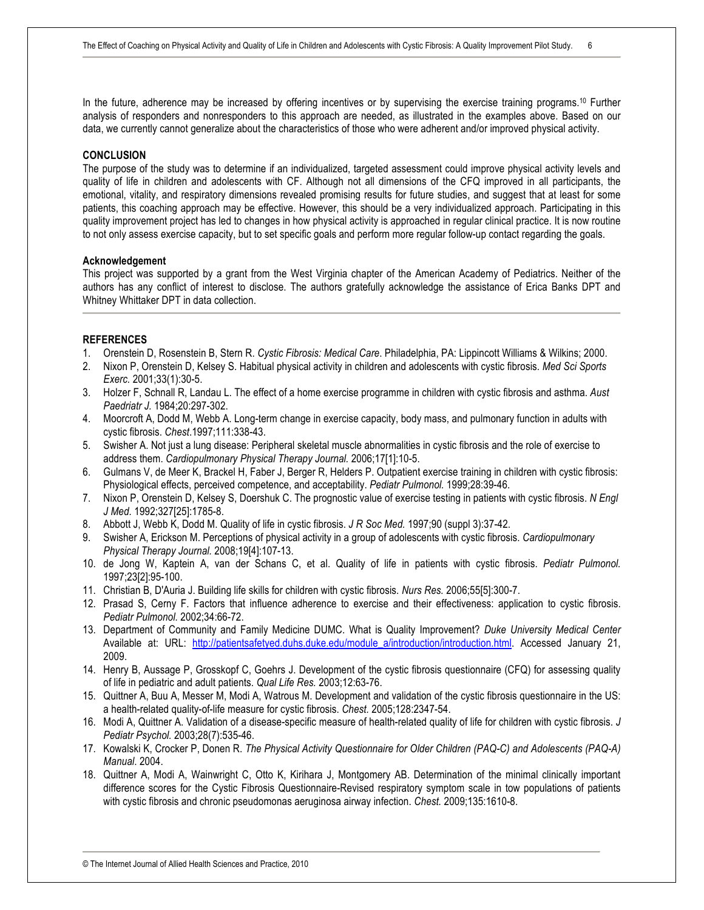In the future, adherence may be increased by offering incentives or by supervising the exercise training programs.10 Further analysis of responders and nonresponders to this approach are needed, as illustrated in the examples above. Based on our data, we currently cannot generalize about the characteristics of those who were adherent and/or improved physical activity.

#### **CONCLUSION**

The purpose of the study was to determine if an individualized, targeted assessment could improve physical activity levels and quality of life in children and adolescents with CF. Although not all dimensions of the CFQ improved in all participants, the emotional, vitality, and respiratory dimensions revealed promising results for future studies, and suggest that at least for some patients, this coaching approach may be effective. However, this should be a very individualized approach. Participating in this quality improvement project has led to changes in how physical activity is approached in regular clinical practice. It is now routine to not only assess exercise capacity, but to set specific goals and perform more regular follow-up contact regarding the goals.

#### **Acknowledgement**

This project was supported by a grant from the West Virginia chapter of the American Academy of Pediatrics. Neither of the authors has any conflict of interest to disclose. The authors gratefully acknowledge the assistance of Erica Banks DPT and Whitney Whittaker DPT in data collection.

#### **REFERENCES**

- 1. Orenstein D, Rosenstein B, Stern R. *Cystic Fibrosis: Medical Care*. Philadelphia, PA: Lippincott Williams & Wilkins; 2000.
- 2. Nixon P, Orenstein D, Kelsey S. Habitual physical activity in children and adolescents with cystic fibrosis. *Med Sci Sports Exerc.* 2001;33(1):30-5.
- 3. Holzer F, Schnall R, Landau L. The effect of a home exercise programme in children with cystic fibrosis and asthma. *Aust Paedriatr J.* 1984;20:297-302.
- 4. Moorcroft A, Dodd M, Webb A. Long-term change in exercise capacity, body mass, and pulmonary function in adults with cystic fibrosis. *Chest*.1997;111:338-43.
- 5. Swisher A. Not just a lung disease: Peripheral skeletal muscle abnormalities in cystic fibrosis and the role of exercise to address them. *Cardiopulmonary Physical Therapy Journal.* 2006;17[1]:10-5.
- 6. Gulmans V, de Meer K, Brackel H, Faber J, Berger R, Helders P. Outpatient exercise training in children with cystic fibrosis: Physiological effects, perceived competence, and acceptability. *Pediatr Pulmonol.* 1999;28:39-46.
- 7. Nixon P, Orenstein D, Kelsey S, Doershuk C. The prognostic value of exercise testing in patients with cystic fibrosis. *N Engl J Med.* 1992;327[25]:1785-8.
- 8. Abbott J, Webb K, Dodd M. Quality of life in cystic fibrosis. *J R Soc Med.* 1997;90 (suppl 3):37-42.
- 9. Swisher A, Erickson M. Perceptions of physical activity in a group of adolescents with cystic fibrosis. *Cardiopulmonary Physical Therapy Journal.* 2008;19[4]:107-13.
- 10. de Jong W, Kaptein A, van der Schans C, et al. Quality of life in patients with cystic fibrosis. *Pediatr Pulmonol.* 1997;23[2]:95-100.
- 11. Christian B, D'Auria J. Building life skills for children with cystic fibrosis. *Nurs Res.* 2006;55[5]:300-7.
- 12. Prasad S, Cerny F. Factors that influence adherence to exercise and their effectiveness: application to cystic fibrosis. *Pediatr Pulmonol.* 2002;34:66-72.
- 13. Department of Community and Family Medicine DUMC. What is Quality Improvement? *Duke University Medical Center* Available at: URL: http://patientsafetyed.duhs.duke.edu/module\_a/introduction/introduction.html. Accessed January 21, 2009.
- 14. Henry B, Aussage P, Grosskopf C, Goehrs J. Development of the cystic fibrosis questionnaire (CFQ) for assessing quality of life in pediatric and adult patients. *Qual Life Res.* 2003;12:63-76.
- 15. Quittner A, Buu A, Messer M, Modi A, Watrous M. Development and validation of the cystic fibrosis questionnaire in the US: a health-related quality-of-life measure for cystic fibrosis. *Chest.* 2005;128:2347-54.
- 16. Modi A, Quittner A. Validation of a disease-specific measure of health-related quality of life for children with cystic fibrosis. *J Pediatr Psychol.* 2003;28(7):535-46.
- 17. Kowalski K, Crocker P, Donen R. *The Physical Activity Questionnaire for Older Children (PAQ-C) and Adolescents (PAQ-A) Manual*. 2004.
- 18. Quittner A, Modi A, Wainwright C, Otto K, Kirihara J, Montgomery AB. Determination of the minimal clinically important difference scores for the Cystic Fibrosis Questionnaire-Revised respiratory symptom scale in tow populations of patients with cystic fibrosis and chronic pseudomonas aeruginosa airway infection. *Chest.* 2009;135:1610-8.